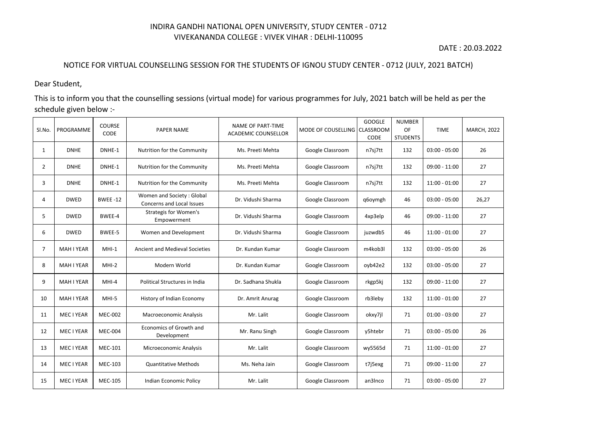## INDIRA GANDHI NATIONAL OPEN UNIVERSITY, STUDY CENTER - 0712 VIVEKANANDA COLLEGE : VIVEK VIHAR : DELHI-110095

## DATE : 20.03.2022

## NOTICE FOR VIRTUAL COUNSELLING SESSION FOR THE STUDENTS OF IGNOU STUDY CENTER - 0712 (JULY, 2021 BATCH)

Dear Student,

This is to inform you that the counselling sessions (virtual mode) for various programmes for July, 2021 batch will be held as per the schedule given below :-

| SI.No.         | PROGRAMME         | <b>COURSE</b><br>CODE | <b>PAPER NAME</b>                                      | <b>NAME OF PART-TIME</b><br><b>ACADEMIC COUNSELLOR</b> | MODE OF COUSELLING   CLASSROOM | <b>GOOGLE</b><br>CODE | <b>NUMBER</b><br>OF<br><b>STUDENTS</b> | <b>TIME</b>     | <b>MARCH, 2022</b> |
|----------------|-------------------|-----------------------|--------------------------------------------------------|--------------------------------------------------------|--------------------------------|-----------------------|----------------------------------------|-----------------|--------------------|
| $\mathbf{1}$   | <b>DNHE</b>       | DNHE-1                | Nutrition for the Community                            | Ms. Preeti Mehta                                       | Google Classroom               | n7sj7tt               | 132                                    | $03:00 - 05:00$ | 26                 |
| $\overline{2}$ | <b>DNHE</b>       | DNHE-1                | Nutrition for the Community                            | Ms. Preeti Mehta                                       | Google Classroom               | n7sj7tt               | 132                                    | $09:00 - 11:00$ | 27                 |
| 3              | <b>DNHE</b>       | DNHE-1                | Nutrition for the Community                            | Ms. Preeti Mehta                                       | Google Classroom               | n7sj7tt               | 132                                    | $11:00 - 01:00$ | 27                 |
| 4              | <b>DWED</b>       | <b>BWEE-12</b>        | Women and Society: Global<br>Concerns and Local Issues | Dr. Vidushi Sharma                                     | Google Classroom               | q6oymgh               | 46                                     | $03:00 - 05:00$ | 26,27              |
| 5              | <b>DWED</b>       | BWEE-4                | <b>Strategis for Women's</b><br>Empowerment            | Dr. Vidushi Sharma                                     | Google Classroom               | 4xp3elp               | 46                                     | $09:00 - 11:00$ | 27                 |
| 6              | <b>DWED</b>       | BWEE-5                | Women and Development                                  | Dr. Vidushi Sharma                                     | Google Classroom               | juzwdb5               | 46                                     | $11:00 - 01:00$ | 27                 |
| $\overline{7}$ | <b>MAH I YEAR</b> | $MHI-1$               | <b>Ancient and Medieval Societies</b>                  | Dr. Kundan Kumar                                       | Google Classroom               | m4kob3l               | 132                                    | $03:00 - 05:00$ | 26                 |
| 8              | <b>MAH I YEAR</b> | $MHI-2$               | Modern World                                           | Dr. Kundan Kumar                                       | Google Classroom               | oyb42e2               | 132                                    | $03:00 - 05:00$ | 27                 |
| 9              | <b>MAH I YEAR</b> | $MHI-4$               | Political Structures in India                          | Dr. Sadhana Shukla                                     | Google Classroom               | rkgp5kj               | 132                                    | $09:00 - 11:00$ | 27                 |
| 10             | <b>MAH I YEAR</b> | MHI-5                 | History of Indian Economy                              | Dr. Amrit Anurag                                       | Google Classroom               | rb3leby               | 132                                    | $11:00 - 01:00$ | 27                 |
| 11             | MEC I YEAR        | <b>MEC-002</b>        | <b>Macroeconomic Analysis</b>                          | Mr. Lalit                                              | Google Classroom               | okxy7jl               | 71                                     | $01:00 - 03:00$ | 27                 |
| 12             | MEC I YEAR        | <b>MEC-004</b>        | Economics of Growth and<br>Development                 | Mr. Ranu Singh                                         | Google Classroom               | y5htebr               | 71                                     | $03:00 - 05:00$ | 26                 |
| 13             | MEC I YEAR        | <b>MEC-101</b>        | Microeconomic Analysis                                 | Mr. Lalit                                              | Google Classroom               | wy5565d               | 71                                     | $11:00 - 01:00$ | 27                 |
| 14             | MEC I YEAR        | <b>MEC-103</b>        | <b>Quantitative Methods</b>                            | Ms. Neha Jain                                          | Google Classroom               | t7j5exg               | 71                                     | $09:00 - 11:00$ | 27                 |
| 15             | MEC I YEAR        | <b>MEC-105</b>        | Indian Economic Policy                                 | Mr. Lalit                                              | Google Classroom               | an3Inco               | 71                                     | $03:00 - 05:00$ | 27                 |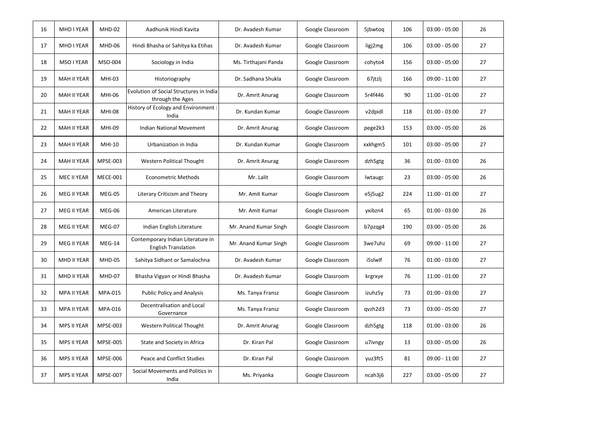| 16 | MHD I YEAR         | MHD-02          | Aadhunik Hindi Kavita                                           | Dr. Avadesh Kumar     | Google Classroom | 5jbwtog | 106 | $03:00 - 05:00$ | 26 |
|----|--------------------|-----------------|-----------------------------------------------------------------|-----------------------|------------------|---------|-----|-----------------|----|
| 17 | <b>MHD I YEAR</b>  | MHD-06          | Hindi Bhasha or Sahitya ka Etihas                               | Dr. Avadesh Kumar     | Google Classroom | ligj2mg | 106 | $03:00 - 05:00$ | 27 |
| 18 | MSO I YEAR         | MSO-004         | Sociology in India                                              | Ms. Tirthajani Panda  | Google Classroom | cohyto4 | 156 | $03:00 - 05:00$ | 27 |
| 19 | <b>MAH II YEAR</b> | MHI-03          | Historiography                                                  | Dr. Sadhana Shukla    | Google Classroom | 67jtzlj | 166 | $09:00 - 11:00$ | 27 |
| 20 | <b>MAH II YEAR</b> | <b>MHI-06</b>   | Evolution of Social Structures in India<br>through the Ages     | Dr. Amrit Anurag      | Google Classroom | 5r4f446 | 90  | $11:00 - 01:00$ | 27 |
| 21 | MAH II YEAR        | <b>MHI-08</b>   | History of Ecology and Environment :<br>India                   | Dr. Kundan Kumar      | Google Classroom | v2dpidl | 118 | $01:00 - 03:00$ | 27 |
| 22 | <b>MAH II YEAR</b> | <b>MHI-09</b>   | <b>Indian National Movement</b>                                 | Dr. Amrit Anurag      | Google Classroom | pege2k3 | 153 | $03:00 - 05:00$ | 26 |
| 23 | MAH II YEAR        | MHI-10          | Urbanization in India                                           | Dr. Kundan Kumar      | Google Classroom | xxkhgm5 | 101 | $03:00 - 05:00$ | 27 |
| 24 | <b>MAH II YEAR</b> | MPSE-003        | Western Political Thought                                       | Dr. Amrit Anurag      | Google Classroom | dzh5gtg | 36  | $01:00 - 03:00$ | 26 |
| 25 | <b>MEC II YEAR</b> | <b>MECE-001</b> | <b>Econometric Methods</b>                                      | Mr. Lalit             | Google Classroom | lwtaugc | 23  | $03:00 - 05:00$ | 26 |
| 26 | MEG II YEAR        | MEG-05          | Literary Criticism and Theory                                   | Mr. Amit Kumar        | Google Classroom | e5j5ug2 | 224 | $11:00 - 01:00$ | 27 |
| 27 | <b>MEG II YEAR</b> | MEG-06          | American Literature                                             | Mr. Amit Kumar        | Google Classroom | yxibzn4 | 65  | $01:00 - 03:00$ | 26 |
| 28 | MEG II YEAR        | MEG-07          | Indian English Literature                                       | Mr. Anand Kumar Singh | Google Classroom | b7pzqg4 | 190 | $03:00 - 05:00$ | 26 |
| 29 | MEG II YEAR        | $MEG-14$        | Contemporary Indian Literature in<br><b>English Translation</b> | Mr. Anand Kumar Singh | Google Classroom | 3we7uhz | 69  | $09:00 - 11:00$ | 27 |
| 30 | MHD II YEAR        | MHD-05          | Sahitya Sidhant or Samalochna                                   | Dr. Avadesh Kumar     | Google Classroom | i5slwlf | 76  | $01:00 - 03:00$ | 27 |
| 31 | <b>MHD II YEAR</b> | MHD-07          | Bhasha Vigyan or Hindi Bhasha                                   | Dr. Avadesh Kumar     | Google Classroom | krgrxye | 76  | $11:00 - 01:00$ | 27 |
| 32 | <b>MPA II YEAR</b> | <b>MPA-015</b>  | <b>Public Policy and Analysis</b>                               | Ms. Tanya Fransz      | Google Classroom | izuhz5y | 73  | $01:00 - 03:00$ | 27 |
| 33 | <b>MPA II YEAR</b> | MPA-016         | Decentralisation and Local<br>Governance                        | Ms. Tanya Fransz      | Google Classroom | qvzh2d3 | 73  | $03:00 - 05:00$ | 27 |
| 34 | <b>MPS II YEAR</b> | MPSE-003        | Western Political Thought                                       | Dr. Amrit Anurag      | Google Classroom | dzh5gtg | 118 | $01:00 - 03:00$ | 26 |
| 35 | <b>MPS II YEAR</b> | <b>MPSE-005</b> | State and Society in Africa                                     | Dr. Kiran Pal         | Google Classroom | u7ivngy | 13  | $03:00 - 05:00$ | 26 |
| 36 | <b>MPS II YEAR</b> | <b>MPSE-006</b> | Peace and Conflict Studies                                      | Dr. Kiran Pal         | Google Classroom | yuz3ft5 | 81  | $09:00 - 11:00$ | 27 |
| 37 | <b>MPS II YEAR</b> | MPSE-007        | Social Movements and Politics in<br>India                       | Ms. Priyanka          | Google Classroom | ncah3j6 | 227 | $03:00 - 05:00$ | 27 |